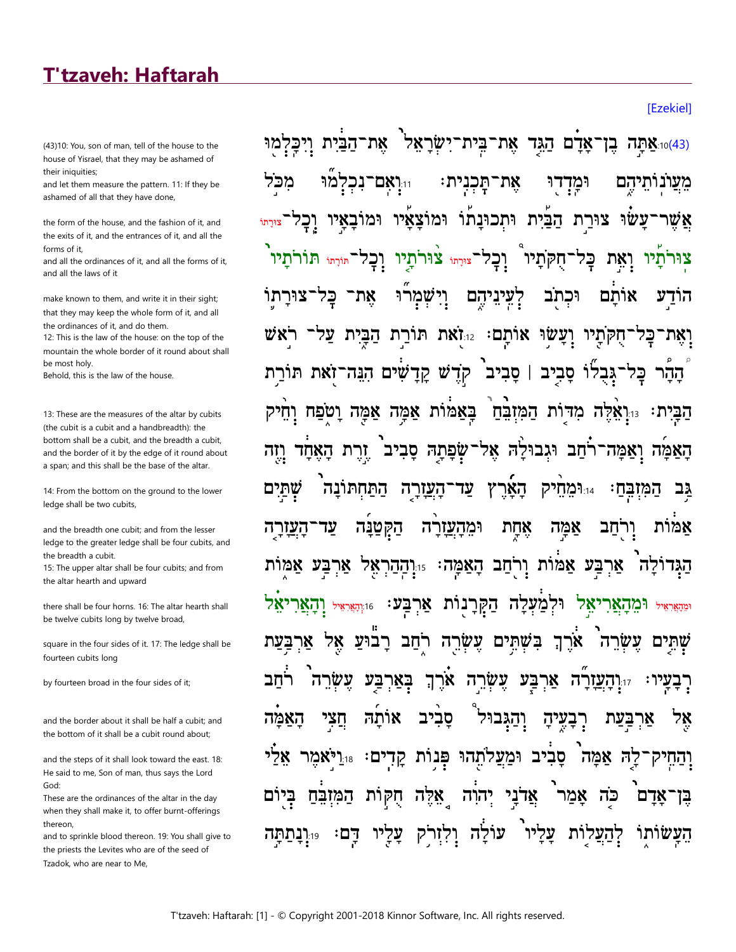## **T'tzaveh: Haftarah**

(43)10: You, son of man, tell of the house to the house of Yisrael, that they may be ashamed of their iniquities;

and let them measure the pattern. 11: If they be ashamed of all that they have done,

the form of the house, and the fashion of it, and the exits of it, and the entrances of it, and all the  $f$ <sub>orms</sub> of it

and all the ordinances of it, and all the forms of it. and all the laws of it

make known to them, and write it in their sight: that they may keep the whole form of it, and all the ordinances of it, and do them.

12: This is the law of the house: on the top of the mountain the whole border of it round about shall be most holv.

Behold this is the law of the house

13: These are the measures of the altar by cubits (the cubit is a cubit and a handbreadth): the bottom shall be a cubit, and the breadth a cubit, and the border of it by the edge of it round about a span; and this shall be the base of the altar.

14: From the bottom on the ground to the lower ledge shall be two cubits,

and the breadth one cubit; and from the lesser ledge to the greater ledge shall be four cubits, and the breadth a cubit.

15: The upper altar shall be four cubits; and from the altar hearth and upward

there shall be four horns. 16: The altar hearth shall be twelve cubits long by twelve broad,

square in the four sides of it. 17: The ledge shall be fourteen cubits long

by fourteen broad in the four sides of it:

and the border about it shall be half a cubit; and the bottom of it shall be a cubit round about:

and the steps of it shall look toward the east. 18: He said to me, Son of man, thus says the Lord God<sup>-</sup>

These are the ordinances of the altar in the day when they shall make it, to offer burnt-offerings thereon.

and to sprinkle blood thereon. 19: You shall give to the priests the Levites who are of the seed of Tzadok, who are near to Me,

ֹאֲדַם הַגֵּד אֲת־בִּית־יִשְׂרַאֲלֹ <u>ואַתָּה בֳן')</u> את־הבית ויכלמוּ מו מכל את־תִכנית: מעונותיהם 11.ואם־נכל וּמדדוּ הַבַּיִת וּתְכוּנַתוֹ וּמוֹצַאֵיו וּמוֹבַאֵיו עשו צוּרת ו<br>צורתו ֹוֻיֲ⊑ֵל וַחְקֹתָיו וָכָל־<sub>צּוּרְת</sub>ּ צוּרתַיו וָכָל־<sub>מּוֹרָת</sub>ּ תּוֹרתַיו ואת צוּרתו' ּבַּל את־ וַיִּשְׁמַרוּ <u>קעיניהם</u> אותם וּכתב ע הוד יחקתיו ועשו אותם: Istas תורת הבית על קְדָשׁ קָדָשִׁים הִגַּה־זֹאת תּוֹרַת סביב | סביב גבלו הַבָּיָת: הַּיְאָלֶה מִדּוֹת הַמְּזִבְּחַ בַּאַמּוֹת אַמַּה אַמַּה וַטֹּפַּח וַחֵיק זרת הַאֲחַד שפתה סביב האמה ואמה־רחב וגבולה אל־ וזה התחתונה <u>ֿהעורה</u> עד הארץ 1:14מחיק שתים המובח: גב וּמֵהַעֲזַרַה העזרה עד הקטנה אַחַת אמה ורחב אמות אַרִבַּע אַמּוֹת וְרֹחַב הַאַמַּה<sup>ָ:</sup> וּוְהַהַרִ ארבע אמות הגדולה 78 וּיִהְאֵיאִי וַהַאֲרַנוּת אַרְבַּע: וּוּהָאֲיאִי וָהַאֲנִ ומהאראיל **ו־מהאר** בשתים עשרה רחב רבוע ארך בעת אר אל עשרה ם שתי עֵשָׂרֵה אַרֵךְ חב עשר בארבע ארבע ד**העזרה.** ּרָבַעַיו חֲצי והגבול רִבְעֵיהָ האמה סביב אותה אר אלי וּמַעֲלתֵהוּ פִּנוֹת קַדְים: ר**יאמר** סַבְיב קה אמה וְהַחֵי אדני אדם המזבח חקות אלה יהוה אמר כה בן עוֹלֵה וְלְזִרֹק 19:**ונתתה** עליו עליו דהעלות העשותו דם:

**[Ezekiel]**